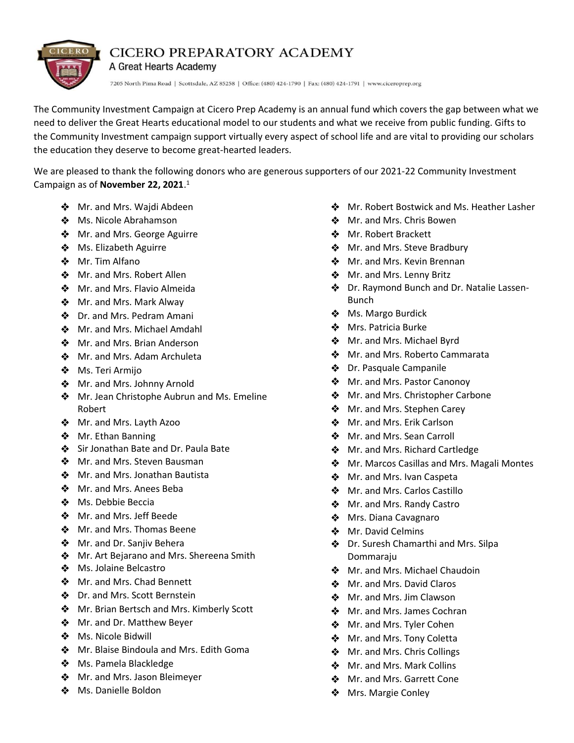

## CICERO PREPARATORY ACADEMY

A Great Hearts Academy

7205 North Pima Road | Scottsdale, AZ 85258 | Office: (480) 424-1790 | Fax: (480) 424-1791 | www.ciceroprep.org

The Community Investment Campaign at Cicero Prep Academy is an annual fund which covers the gap between what we need to deliver the Great Hearts educational model to our students and what we receive from public funding. Gifts to the Community Investment campaign support virtually every aspect of school life and are vital to providing our scholars the education they deserve to become great-hearted leaders.

We are pleased to thank the following donors who are generous supporters of our 2021-22 Community Investment Campaign as of **November 22, 2021**. 1

- ❖ Mr. and Mrs. Wajdi Abdeen
- ❖ Ms. Nicole Abrahamson
- ❖ Mr. and Mrs. George Aguirre
- **❖** Ms. Elizabeth Aguirre
- ❖ Mr. Tim Alfano
- ❖ Mr. and Mrs. Robert Allen
- ◆ Mr. and Mrs. Flavio Almeida
- ❖ Mr. and Mrs. Mark Alway
- ❖ Dr. and Mrs. Pedram Amani
- ❖ Mr. and Mrs. Michael Amdahl
- ❖ Mr. and Mrs. Brian Anderson
- ❖ Mr. and Mrs. Adam Archuleta
- ❖ Ms. Teri Armijo
- Mr. and Mrs. Johnny Arnold
- ❖ Mr. Jean Christophe Aubrun and Ms. Emeline Robert
- ◆ Mr. and Mrs. Layth Azoo
- ❖ Mr. Ethan Banning
- Sir Jonathan Bate and Dr. Paula Bate
- ❖ Mr. and Mrs. Steven Bausman
- ❖ Mr. and Mrs. Jonathan Bautista
- ❖ Mr. and Mrs. Anees Beba
- ❖ Ms. Debbie Beccia
- ❖ Mr. and Mrs. Jeff Beede
- ❖ Mr. and Mrs. Thomas Beene
- **❖** Mr. and Dr. Sanjiv Behera
- ◆ Mr. Art Bejarano and Mrs. Shereena Smith
- ❖ Ms. Jolaine Belcastro
- ❖ Mr. and Mrs. Chad Bennett
- ❖ Dr. and Mrs. Scott Bernstein
- **Mr. Brian Bertsch and Mrs. Kimberly Scott**
- **❖** Mr. and Dr. Matthew Beyer
- ❖ Ms. Nicole Bidwill
- **Mr. Blaise Bindoula and Mrs. Edith Goma**
- ◆ Ms. Pamela Blackledge
- **❖** Mr. and Mrs. Jason Bleimeyer
- ❖ Ms. Danielle Boldon
- $\div$  Mr. Robert Bostwick and Ms. Heather Lasher
- Mr. and Mrs. Chris Bowen
- ❖ Mr. Robert Brackett
- Mr. and Mrs. Steve Bradbury
- ❖ Mr. and Mrs. Kevin Brennan
- Mr. and Mrs. Lenny Britz
- Dr. Raymond Bunch and Dr. Natalie Lassen-Bunch
- ❖ Ms. Margo Burdick
- ❖ Mrs. Patricia Burke
- $\bullet$  Mr. and Mrs. Michael Byrd
- Mr. and Mrs. Roberto Cammarata
- Dr. Pasquale Campanile
- $\triangleleft$  Mr. and Mrs. Pastor Canonoy
- Mr. and Mrs. Christopher Carbone
- Mr. and Mrs. Stephen Carey
- Mr. and Mrs. Erik Carlson
- Mr. and Mrs. Sean Carroll
- Mr. and Mrs. Richard Cartledge
- ◆ Mr. Marcos Casillas and Mrs. Magali Montes
- Mr. and Mrs. Ivan Caspeta
- $\triangleleft$  Mr. and Mrs. Carlos Castillo
- Mr. and Mrs. Randy Castro
- ◆ Mrs. Diana Cavagnaro
- ◆ Mr. David Celmins
- Dr. Suresh Chamarthi and Mrs. Silpa Dommaraju
- $\bullet$  Mr. and Mrs. Michael Chaudoin
- Mr. and Mrs. David Claros
- ❖ Mr. and Mrs. Jim Clawson
- Mr. and Mrs. James Cochran
- $\bullet$  Mr. and Mrs. Tyler Cohen
- $\bullet$  Mr. and Mrs. Tony Coletta
- ❖ Mr. and Mrs. Chris Collings
- Mr. and Mrs. Mark Collins
- Mr. and Mrs. Garrett Cone
- ❖ Mrs. Margie Conley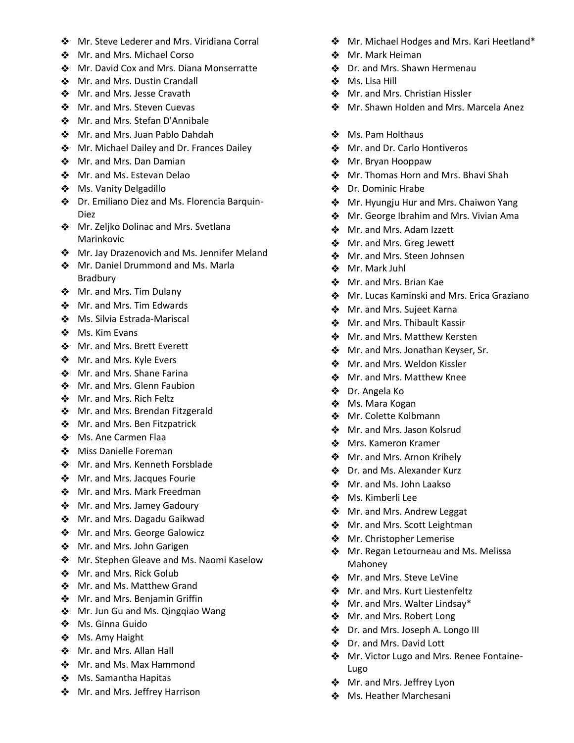- ❖ Mr. Steve Lederer and Mrs. Viridiana Corral
- ❖ Mr. and Mrs. Michael Corso
- ❖ Mr. David Cox and Mrs. Diana Monserratte
- ❖ Mr. and Mrs. Dustin Crandall
- ◆ Mr. and Mrs. Jesse Cravath
- ❖ Mr. and Mrs. Steven Cuevas
- ❖ Mr. and Mrs. Stefan D'Annibale
- ◆ Mr. and Mrs. Juan Pablo Dahdah
- **Mr. Michael Dailey and Dr. Frances Dailey**
- ❖ Mr. and Mrs. Dan Damian
- ◆ Mr. and Ms. Estevan Delao
- **❖** Ms. Vanity Delgadillo
- ◆ Dr. Emiliano Diez and Ms. Florencia Barquin-Diez
- **Mr. Zeljko Dolinac and Mrs. Svetlana** Marinkovic
- $\triangle$  Mr. Jay Drazenovich and Ms. Jennifer Meland
- ◆ Mr. Daniel Drummond and Ms. Marla Bradbury
- Mr. and Mrs. Tim Dulany
- ❖ Mr. and Mrs. Tim Edwards
- ◆ Ms. Silvia Estrada-Mariscal
- ❖ Ms. Kim Evans
- ◆ Mr. and Mrs. Brett Everett
- ❖ Mr. and Mrs. Kyle Evers
- ❖ Mr. and Mrs. Shane Farina
- ❖ Mr. and Mrs. Glenn Faubion
- ❖ Mr. and Mrs. Rich Feltz
- ◆ Mr. and Mrs. Brendan Fitzgerald
- ❖ Mr. and Mrs. Ben Fitzpatrick
- ❖ Ms. Ane Carmen Flaa
- ❖ Miss Danielle Foreman
- ◆ Mr. and Mrs. Kenneth Forsblade
- **❖** Mr. and Mrs. Jacques Fourie
- ❖ Mr. and Mrs. Mark Freedman
- ◆ Mr. and Mrs. Jamey Gadoury
- ◆ Mr. and Mrs. Dagadu Gaikwad
- **❖** Mr. and Mrs. George Galowicz
- ◆ Mr. and Mrs. John Garigen
- **Mr. Stephen Gleave and Ms. Naomi Kaselow**
- ◆ Mr. and Mrs. Rick Golub
- ◆ Mr. and Ms. Matthew Grand
- **Mr.** and Mrs. Benjamin Griffin
- ◆ Mr. Jun Gu and Ms. Qingqiao Wang
- Ms. Ginna Guido
- ❖ Ms. Amy Haight
- ❖ Mr. and Mrs. Allan Hall
- ❖ Mr. and Ms. Max Hammond
- ❖ Ms. Samantha Hapitas
- ◆ Mr. and Mrs. Jeffrey Harrison
- $\triangleq$  Mr. Michael Hodges and Mrs. Kari Heetland\*
- ❖ Mr. Mark Heiman
- Dr. and Mrs. Shawn Hermenau
- Ms. Lisa Hill
- Mr. and Mrs. Christian Hissler
- Mr. Shawn Holden and Mrs. Marcela Anez
- ❖ Ms. Pam Holthaus
- Mr. and Dr. Carlo Hontiveros
- ❖ Mr. Bryan Hooppaw
- ◆ Mr. Thomas Horn and Mrs. Bhavi Shah
- Dr. Dominic Hrabe
- **Mr. Hyungju Hur and Mrs. Chaiwon Yang**
- $\bullet$  Mr. George Ibrahim and Mrs. Vivian Ama
- Mr. and Mrs. Adam Izzett
- ◆ Mr. and Mrs. Greg Jewett
- Mr. and Mrs. Steen Johnsen
- Mr. Mark Juhl
- Mr. and Mrs. Brian Kae
- $\triangle$  Mr. Lucas Kaminski and Mrs. Erica Graziano
- Mr. and Mrs. Sujeet Karna
- Mr. and Mrs. Thibault Kassir
- Mr. and Mrs. Matthew Kersten
- Mr. and Mrs. Jonathan Keyser, Sr.
- Mr. and Mrs. Weldon Kissler
- Mr. and Mrs. Matthew Knee
- Dr. Angela Ko
- ◆ Ms. Mara Kogan
- ❖ Mr. Colette Kolbmann
- Mr. and Mrs. Jason Kolsrud
- **Mrs. Kameron Kramer**
- $\bullet$  Mr. and Mrs. Arnon Krihely
- Dr. and Ms. Alexander Kurz
- Mr. and Ms. John Laakso
- ❖ Ms. Kimberli Lee
- ◆ Mr. and Mrs. Andrew Leggat
- $\bullet$  Mr. and Mrs. Scott Leightman
- Mr. Christopher Lemerise
- $\triangleq$  Mr. Regan Letourneau and Ms. Melissa Mahoney
- Mr. and Mrs. Steve LeVine
- Mr. and Mrs. Kurt Liestenfeltz
- Mr. and Mrs. Walter Lindsay\*
- $\bullet$  Mr. and Mrs. Robert Long
- Dr. and Mrs. Joseph A. Longo III
- Dr. and Mrs. David Lott
- Mr. Victor Lugo and Mrs. Renee Fontaine-Lugo
- Mr. and Mrs. Jeffrey Lyon
- **Ms. Heather Marchesani**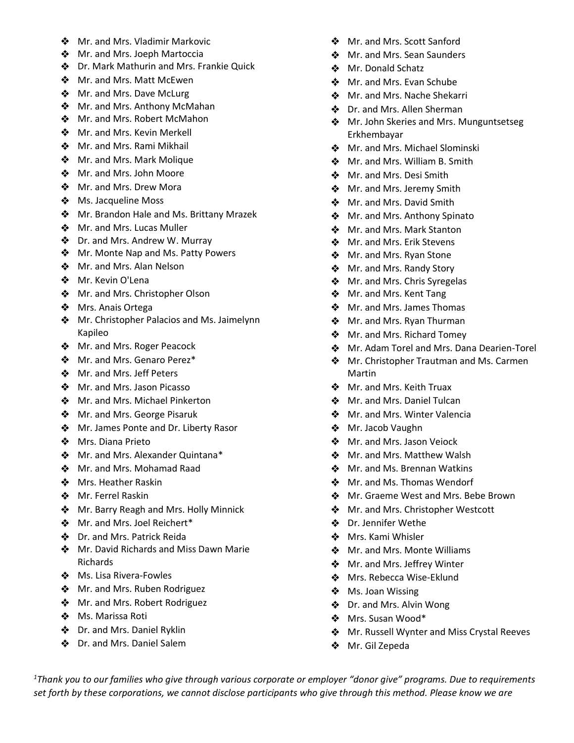- ❖ Mr. and Mrs. Vladimir Markovic
- ❖ Mr. and Mrs. Joeph Martoccia
- ◆ Dr. Mark Mathurin and Mrs. Frankie Quick
- ❖ Mr. and Mrs. Matt McEwen
- ❖ Mr. and Mrs. Dave McLurg
- ❖ Mr. and Mrs. Anthony McMahan
- ❖ Mr. and Mrs. Robert McMahon
- ❖ Mr. and Mrs. Kevin Merkell
- ❖ Mr. and Mrs. Rami Mikhail
- ◆ Mr. and Mrs. Mark Molique
- ❖ Mr. and Mrs. John Moore
- ❖ Mr. and Mrs. Drew Mora
- **❖** Ms. Jacqueline Moss
- ❖ Mr. Brandon Hale and Ms. Brittany Mrazek
- ❖ Mr. and Mrs. Lucas Muller
- Dr. and Mrs. Andrew W. Murray
- ❖ Mr. Monte Nap and Ms. Patty Powers
- ❖ Mr. and Mrs. Alan Nelson
- Mr. Kevin O'Lena
- **Mr. and Mrs. Christopher Olson**
- ❖ Mrs. Anais Ortega
- **Mr.** Christopher Palacios and Ms. Jaimelynn Kapileo
- ❖ Mr. and Mrs. Roger Peacock
- Mr. and Mrs. Genaro Perez\*
- ❖ Mr. and Mrs. Jeff Peters
- ❖ Mr. and Mrs. Jason Picasso
- ❖ Mr. and Mrs. Michael Pinkerton
- ◆ Mr. and Mrs. George Pisaruk
- ❖ Mr. James Ponte and Dr. Liberty Rasor
- ❖ Mrs. Diana Prieto
- ◆ Mr. and Mrs. Alexander Quintana\*
- ❖ Mr. and Mrs. Mohamad Raad
- ❖ Mrs. Heather Raskin
- ◆ Mr. Ferrel Raskin
- **Mr. Barry Reagh and Mrs. Holly Minnick**
- ❖ Mr. and Mrs. Joel Reichert\*
- Dr. and Mrs. Patrick Reida
- ❖ Mr. David Richards and Miss Dawn Marie Richards
- **❖** Ms. Lisa Rivera-Fowles
- Mr. and Mrs. Ruben Rodriguez
- ❖ Mr. and Mrs. Robert Rodriguez
- Ms. Marissa Roti
- ◆ Dr. and Mrs. Daniel Ryklin
- ❖ Dr. and Mrs. Daniel Salem
- Mr. and Mrs. Scott Sanford
- Mr. and Mrs. Sean Saunders
- ❖ Mr. Donald Schatz
- Mr. and Mrs. Evan Schube
- Mr. and Mrs. Nache Shekarri
- Dr. and Mrs. Allen Sherman
- **Mr. John Skeries and Mrs. Munguntsetseg** Erkhembayar
- Mr. and Mrs. Michael Slominski
- Mr. and Mrs. William B. Smith
- Mr. and Mrs. Desi Smith
- $\triangleleft$  Mr. and Mrs. Jeremy Smith
- Mr. and Mrs. David Smith
- ◆ Mr. and Mrs. Anthony Spinato
- Mr. and Mrs. Mark Stanton
- $\bullet$  Mr. and Mrs. Erik Stevens
- Mr. and Mrs. Ryan Stone
- **Mr. and Mrs. Randy Story**
- ❖ Mr. and Mrs. Chris Syregelas
- Mr. and Mrs. Kent Tang
- Mr. and Mrs. James Thomas
- Mr. and Mrs. Ryan Thurman
- Mr. and Mrs. Richard Tomey
- Mr. Adam Torel and Mrs. Dana Dearien-Torel
- ◆ Mr. Christopher Trautman and Ms. Carmen Martin
- **Mr. and Mrs. Keith Truax**
- Mr. and Mrs. Daniel Tulcan
- Mr. and Mrs. Winter Valencia
- Mr. Jacob Vaughn
- Mr. and Mrs. Jason Veiock
- Mr. and Mrs. Matthew Walsh
- Mr. and Ms. Brennan Watkins
- Mr. and Ms. Thomas Wendorf
- ◆ Mr. Graeme West and Mrs. Bebe Brown
- ◆ Mr. and Mrs. Christopher Westcott
- ❖ Dr. Jennifer Wethe
- ❖ Mrs. Kami Whisler
- ❖ Mr. and Mrs. Monte Williams
- Mr. and Mrs. Jeffrey Winter
- Mrs. Rebecca Wise-Eklund
- ❖ Ms. Joan Wissing
- Dr. and Mrs. Alvin Wong
- Mrs. Susan Wood\*
- $\text{\textbullet}$  Mr. Russell Wynter and Miss Crystal Reeves
- Mr. Gil Zepeda

*<sup>1</sup>Thank you to our families who give through various corporate or employer "donor give" programs. Due to requirements set forth by these corporations, we cannot disclose participants who give through this method. Please know we are*